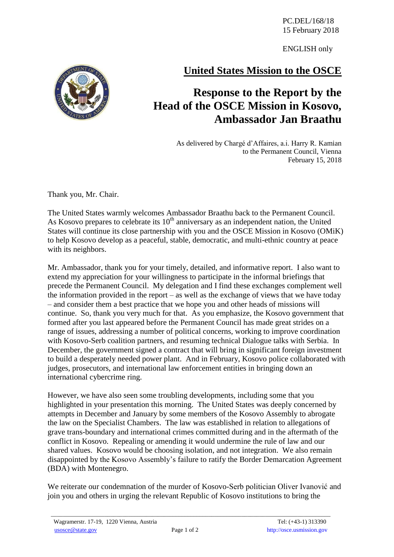PC.DEL/168/18 15 February 2018

ENGLISH only

## **United States Mission to the OSCE**

## **Response to the Report by the Head of the OSCE Mission in Kosovo, Ambassador Jan Braathu**

As delivered by Chargé d'Affaires, a.i. Harry R. Kamian to the Permanent Council, Vienna February 15, 2018

Thank you, Mr. Chair.

The United States warmly welcomes Ambassador Braathu back to the Permanent Council. As Kosovo prepares to celebrate its  $10<sup>th</sup>$  anniversary as an independent nation, the United States will continue its close partnership with you and the OSCE Mission in Kosovo (OMiK) to help Kosovo develop as a peaceful, stable, democratic, and multi-ethnic country at peace with its neighbors.

Mr. Ambassador, thank you for your timely, detailed, and informative report. I also want to extend my appreciation for your willingness to participate in the informal briefings that precede the Permanent Council. My delegation and I find these exchanges complement well the information provided in the report – as well as the exchange of views that we have today – and consider them a best practice that we hope you and other heads of missions will continue. So, thank you very much for that. As you emphasize, the Kosovo government that formed after you last appeared before the Permanent Council has made great strides on a range of issues, addressing a number of political concerns, working to improve coordination with Kosovo-Serb coalition partners, and resuming technical Dialogue talks with Serbia. In December, the government signed a contract that will bring in significant foreign investment to build a desperately needed power plant. And in February, Kosovo police collaborated with judges, prosecutors, and international law enforcement entities in bringing down an international cybercrime ring.

However, we have also seen some troubling developments, including some that you highlighted in your presentation this morning. The United States was deeply concerned by attempts in December and January by some members of the Kosovo Assembly to abrogate the law on the Specialist Chambers. The law was established in relation to allegations of grave trans-boundary and international crimes committed during and in the aftermath of the conflict in Kosovo. Repealing or amending it would undermine the rule of law and our shared values. Kosovo would be choosing isolation, and not integration. We also remain disappointed by the Kosovo Assembly's failure to ratify the Border Demarcation Agreement (BDA) with Montenegro.

We reiterate our condemnation of the murder of Kosovo-Serb politician Oliver Ivanović and join you and others in urging the relevant Republic of Kosovo institutions to bring the



\_\_\_\_\_\_\_\_\_\_\_\_\_\_\_\_\_\_\_\_\_\_\_\_\_\_\_\_\_\_\_\_\_\_\_\_\_\_\_\_\_\_\_\_\_\_\_\_\_\_\_\_\_\_\_\_\_\_\_\_\_\_\_\_\_\_\_\_\_\_\_\_\_\_\_\_\_\_\_\_\_\_\_\_\_\_\_\_\_\_\_\_\_\_